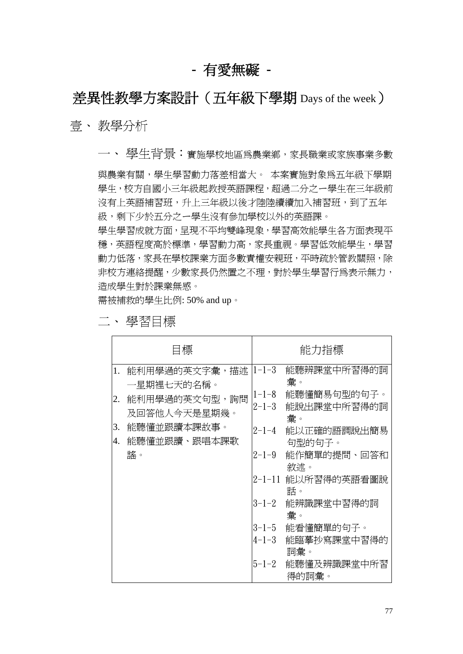# **-** 有愛無礙 **-**

# 差異性教學方案設計(五年級下學期 Days of the week)

壹、 教學分析

一、 學生背景:實施學校地區為農業鄉,家長職業或家族事業多數 與農業有關,學生學習動力落差相當大。 本案實施對象為五年級下學期 學生,校方自國小三年級起教授英語課程,超過二分之一學生在三年級前 沒有上英語補習班,升上三年級以後才陸陸續續加入補習班,到了五年 級,剩下少於五分之一學生沒有參加學校以外的英語課。 學生學習成就方面,呈現不平均雙峰現象,學習高效能學生各方面表現平 穩,英語程度高於標準,學習動力高,家長重視。學習低效能學生,學習 動力低落,家長在學校課業方面多數責權安親班,平時疏於管教關照,除 非校方連絡提醒,少數家長仍然置之不理,對於學生學習行為表示無力, 造成學生對於課業無感。

需被補救的學生比例: 50% and up。

|          | 目標                                                           |                            | 能力指標                             |
|----------|--------------------------------------------------------------|----------------------------|----------------------------------|
| 1.       | 能利用學過的英文字彙,描述<br>一星期裡七天的名稱。                                  | $1 - 1 - 3$                | 能聽辨課堂中所習得的詞<br>彙。                |
| 2.       | 能利用學過的英文句型,詢問<br>及回答他人今天是星期幾。<br>能聽懂並跟讀本課故事。<br>能聽懂並跟讀、跟唱本課歌 | $1 - 1 - 8$<br>$2 - 1 - 3$ | 能聽懂簡易句型的句子。<br>能說出課堂中所習得的詞<br>彙。 |
| 3.<br>4. |                                                              | $2 - 1 - 4$                | 能以正確的語調說出簡易<br>句型的句子。            |
|          | 謠。                                                           | $2 - 1 - 9$                | 能作簡單的提問、回答和<br>敘述。               |
|          |                                                              |                            | 2-1-11 能以所習得的英語看圖說<br>話。         |
|          |                                                              | $3 - 1 - 2$                | 能辨識課堂中習得的詞<br>彙。                 |
|          |                                                              | $3 - 1 - 5$<br>$4 - 1 - 3$ | 能看懂簡單的句子。<br>能臨摹抄寫課堂中習得的         |
|          |                                                              |                            | 詞彙。                              |
|          |                                                              | $5 - 1 - 2$                | 能聽懂及辨識課堂中所習<br>得的詞彙。             |

二、 學習目標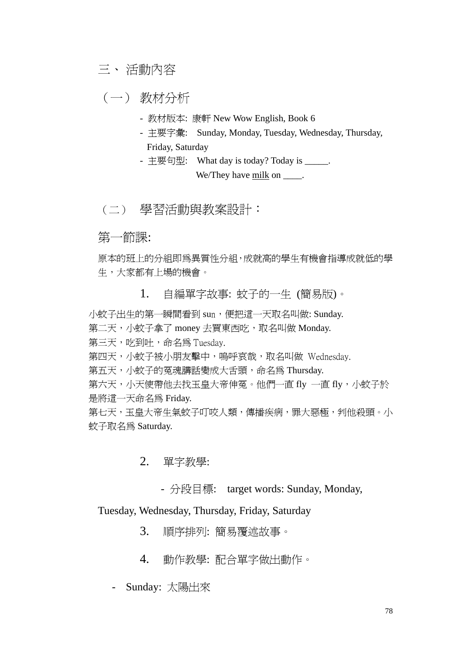## 三、 活動內容

(一) 教材分析

- 教材版本: 康軒 New Wow English, Book 6
- 主要字彙: Sunday, Monday, Tuesday, Wednesday, Thursday, Friday, Saturday
- 主要句型: What day is today? Today is \_\_\_\_\_. We/They have milk on  $\blacksquare$ .

## (二) 學習活動與教案設計:

## 第一節課:

原本的班上的分組即為異質性分組,成就高的學生有機會指導成就低的學 生,大家都有上場的機會。

1. 自編單字故事: 蚊子的一生 (簡易版)。

小蚊子出生的第一瞬間看到 sun,便把這一天取名叫做: Sunday.

第二天,小蚊子拿了 money 去買東西吃, 取名叫做 Monday.

第三天,吃到吐,命名為 Tuesday.

第四天,小蚊子被小朋友擊中,嗚呼哀哉,取名叫做 Wednesday.

第五天,小蚊子的冤魂講話變成大舌頭,命名為 Thursday.

第六天,小天使帶他去找玉皇大帝伸冤。他們一直 fly 一直 fly,小蚊子於 是將這一天命名為 Friday.

第七天,玉皇大帝生氣蚊子叮咬人類,傳播疾病,罪大惡極,判他殺頭。小 蚊子取名為 Saturday.

### 2. 單字教學:

- 分段目標: target words: Sunday, Monday,

Tuesday, Wednesday, Thursday, Friday, Saturday

- 3. 順序排列: 簡易覆述故事。
- 4. 動作教學: 配合單字做出動作。
- Sunday: 太陽出來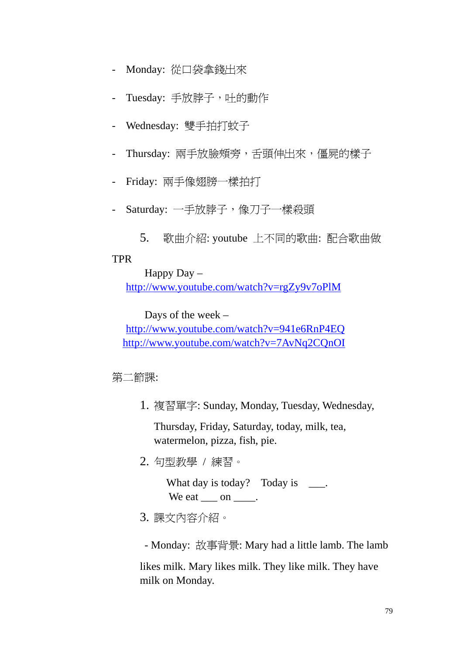- Monday: 從口袋拿錢出來
- Tuesday: 手放脖子,吐的動作
- Wednesday: 雙手拍打蚊子
- Thursday: 兩手放臉頰旁,舌頭伸出來,僵屍的樣子
- Friday: 兩手像翅膀一樣拍打
- Saturday: 一手放脖子,像刀子一樣殺頭
	- 5. 歌曲介紹: youtube 上不同的歌曲: 配合歌曲做

### TPR

Happy Day – http://www.youtube.com/watch?v=rgZy9v7oPlM

Days of the week –

http://www.youtube.com/watch?v=941e6RnP4EQ http://www.youtube.com/watch?v=7AvNq2CQnOI

第二節課:

1. 複習單字: Sunday, Monday, Tuesday, Wednesday,

Thursday, Friday, Saturday, today, milk, tea, watermelon, pizza, fish, pie.

2. 句型教學 / 練習。

What day is today? Today is \_\_\_\_. We eat \_\_\_\_ on \_\_\_\_\_.

- 3. 課文內容介紹。
	- Monday: 故事背景: Mary had a little lamb. The lamb

likes milk. Mary likes milk. They like milk. They have milk on Monday.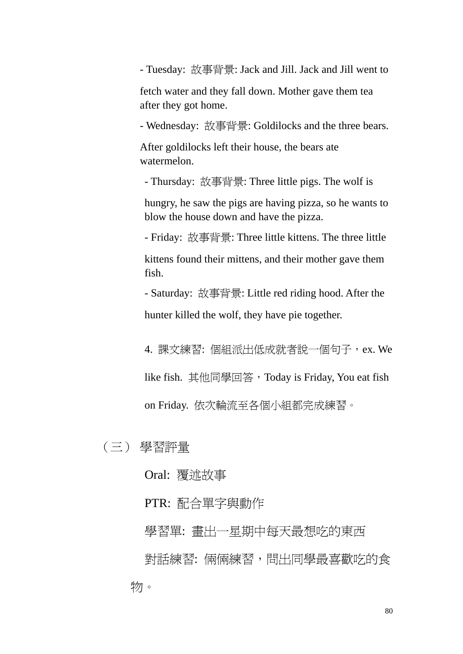- Tuesday: 故事背景: Jack and Jill. Jack and Jill went to

fetch water and they fall down. Mother gave them tea after they got home.

- Wednesday: 故事背景: Goldilocks and the three bears.

After goldilocks left their house, the bears ate watermelon.

- Thursday: 故事背景: Three little pigs. The wolf is

hungry, he saw the pigs are having pizza, so he wants to blow the house down and have the pizza.

- Friday: 故事背景: Three little kittens. The three little

kittens found their mittens, and their mother gave them fish.

- Saturday: 故事背景: Little red riding hood. After the hunter killed the wolf, they have pie together.

4. 課文練習: 個組派出低成就者說一個句子, ex. We like fish. 其他同學回答,Today is Friday, You eat fish on Friday. 依次輪流至各個小組都完成練習。

(三) 學習評量

Oral: 覆述故事

PTR: 配合單字與動作

學習單: 書出一星期中每天最想吃的東西 對話練習: 倆倆練習,問出同學最喜歡吃的食 物。

80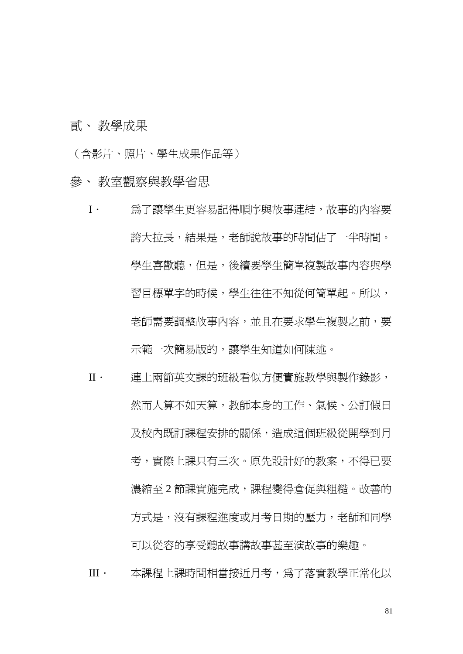貳、 教學成果

(含影片、照片、學生成果作品等)

#### 參、 教室觀察與教學省思

- I· 為了讓學生更容易記得順序與故事連結,故事的內容要 誇大拉長,結果是,老師說故事的時間佔了一半時間。 學生喜歡聽,但是,後續要學生簡單複製故事內容與學 習目標單字的時候,學生往往不知從何簡單起。所以, 老師需要調整故事內容,並且在要求學生複製之前,要 示範一次簡易版的,讓學生知道如何陳述。
- II· 連上兩節英文課的班級看似方便實施教學與製作錄影, 然而人算不如天算,教師本身的工作、氣候、公訂假日 及校內既訂課程安排的關係,造成這個班級從開學到月 考,實際上課只有三次。原先設計好的教案,不得已要 濃縮至 2 節課實施完成, 課程變得倉促與粗糙。改善的 方式是,沒有課程淮度或月考日期的壓力,老師和同學 可以從容的享受聽故事講故事甚至演故事的樂趣。
- III. 本課程上課時間相當接近月考,為了落實教學正常化以